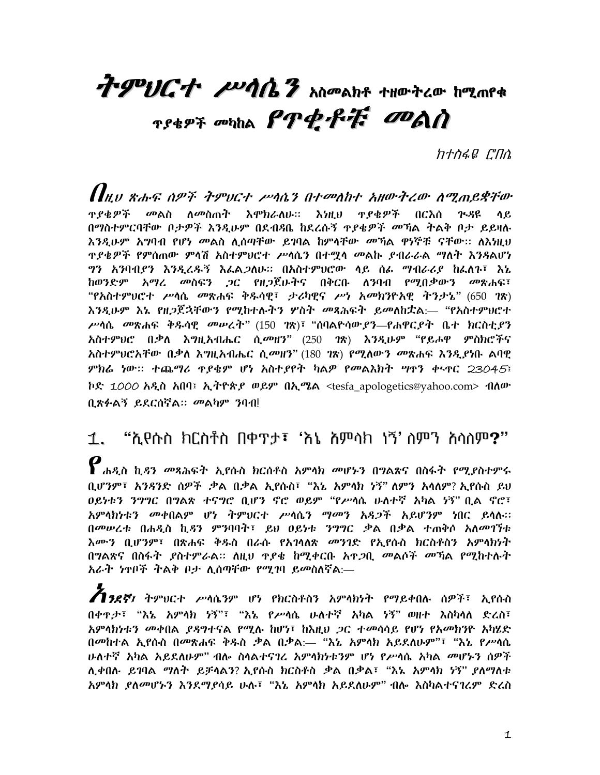# 7-9 UCT PUAN 7 MPANA tHOTLO hanne TSEPT ORTHOLD PT PT ODAN

ከተስፋዬ ርግስ

 $\bm{H}$ N SAF APF TIVCT PAG3 AT PANT SHOTLO AT ALLET A <u>ዋደቁዎች መልስ ለመስጠት እሞክራለሁ። እነዚህ ዋደቁዎች በርእሰ ጕዳዩ ላይ</u> በማስተምርባቸው በታዎች እንዲሁም በደብዳቤ ከደረሱኝ **ተደቁዎች መኻል ትልቅ ቦታ ይይ**ዛሉ እንዲሁም አግባብ የሆነ መልስ ሊሰጣቸው ይገባል ከምሳቸው መኻል ዋነኞቹ ናቸው፡፡ ለእነዚህ <u>ዋደቁዎች የምስጠው ምሳሽ አስተምህሮተ ሥሳሴን በተማሳ መልኩ ደብራራል ማለት እንጻልሆነ</u> ግን አንባብያን እንዲረዱኝ እፌልጋለሁ። በአስተምሀሮው ሳይ ሰፌ ማብራሪያ ከፌለጉ፣ እኔ ከወንድም አማረ *መ*ስፍን *ጋ*ር የዘ*ጋ*ጀሁትና በቅርቡ ለንባብ የሚበቃውን መጽሐፍ፣ "የአስተምህሮተ ሥሳሴ መጽሐፍ ቅጹሳዊ፣ ታሪካዊና ሥነ አመክንዮአዊ ትንታኔ" (650 ገጽ) እንዲሁም እኔ የዘ*ጋ*ጀኋቸውን የሚከተሉትን ሦስት *መጻሕፍት ይመለከ*ቷል፡— "የአስተም*ህ*ሮተ ሥሳሴ መጽሐፍ ቅዱሳዊ መሥረት" (150 1ጽ)፣ "ሰባልዮሳው,የን—የሐዋር,የት ቤተ ክርስቲ,ዖን አስተምሀሮ በቃለ እግዚአብሔር ሲመዘን" (250 ገጽ) እንዲሁም "የይሖዋ ምስክሮችና አስተምሀሮአቸው በቃለ እግዚአብሔር ሲመዘን" (180 1ጽ) የሚለውን መጽሐፍ እንዲያነቡ ልባዊ ምክሬ ነው። ተጨማሪ ዋያቄም ሆነ አስተያየት ካልዎ የመልእክት ሣዋን ቀኣዋር 23045፤ ኮድ 1000 አዲስ አበባ፤ ኢትዮጵያ ወይም በኢሜል <tesfa\_apologetics@yahoo.com> ብለው ቢጽፉልኝ ይደርሰኛል። መልካም ንባብ!

1. "ሲየሱስ ክርስቶስ በቀዋታ፣ 'እኔ አምሳክ ነኝ' ስምን አሳስም?"  $\bm{\varrho}$ ሐዲስ ኪዳን መጻሕፍት ኢየሱስ ክርስቶስ አምሳክ መሆኑን በግልጽና በስፋት የሚያስተምሩ ቢሆንም፣ አንዳንድ ሰዎች .ቃል በ.ቃል ኢየሱስ፣ "እኔ አምሳክ ነኝ" ለምን አሳለም? ኢየሱስ ይህ ዐይነቱን ንግግር በግልጽ ተናግሮ ቢሆን ኖሮ ወይም "የሥሳሴ ሁለተኛ አካል ነኝ" ቢል ኖሮ፣ አምሳክነቱን መቀበልም ሆነ ተምህርተ ሥሳሴን ማመን አዳ*ጋች* አይሆንም ነበር ይሳሉ። በመሠረቱ በሐዲስ ኪዳን ምንባባት፣ ይህ ዐይነቱ ንግግር ቃል በቃል ተጠቅሶ አለመገኘቱ <u>አሙን ቢሆንም፣ በጽሐፍ ቅዱስ በራሱ የአገሳለጽ መንገድ የኢየሱስ ክርስቶስን አምሳክንት </u> በግልጽና በስፋት ያስተምራል። ስዚህ ዋያቄ ከሚቀርቡ አዋጋቢ መልሶች መኻል የሚከተሉት አራት ነዋቦች ትልቅ ቦታ ሊሰጣቸው የሚገባ ይመስለኛል:—

**13ደኛ**፤ ትምሀርተ ሥሳሴንም ሆነ የክርስቶስን አምሳክነት የማይቀበሉ ሰዎች፣ ኢየሱስ በቀዋታ፣ "እኔ አምሳክ ነኝ"፣ "እኔ የሥሳሴ ሁለተኛ አካል ነኝ" ወዘተ እስካሳለ ድረስ፣ አምሳክነቱ*ን መቀ*በል *ደዳግተና*ል የሚሉ ከሆነ፣ ከእዚህ *ጋ*ር ተመሳሳይ የሆነ የአመክንዮ አካሄድ በመከተል ኢየሱስ በመጽሐፍ ቅዱስ ቃል በቃል:— "እኔ አምላክ አይደለሁም"፣ "እኔ የሥላሴ ሁለተኛ አካል አይደለሁም" ብሎ ስላልተናገረ አምላክነቱንም ሆነ የሥላሴ አካል *መ*ሆኑን ሰዎች ሊቀበሉ ይገባል ማለት ይቻሳልን? ኢየሱስ ክርስቶስ ቃል በቃል፣ "እኔ አምሳክ ነኝ" ያለማለቱ አምሳክ ያለመሆኑን እንደማያሳይ ሁሉ፣ "እኔ አምሳክ አይደለሁም" ብሎ እስካልተናገረም ድረስ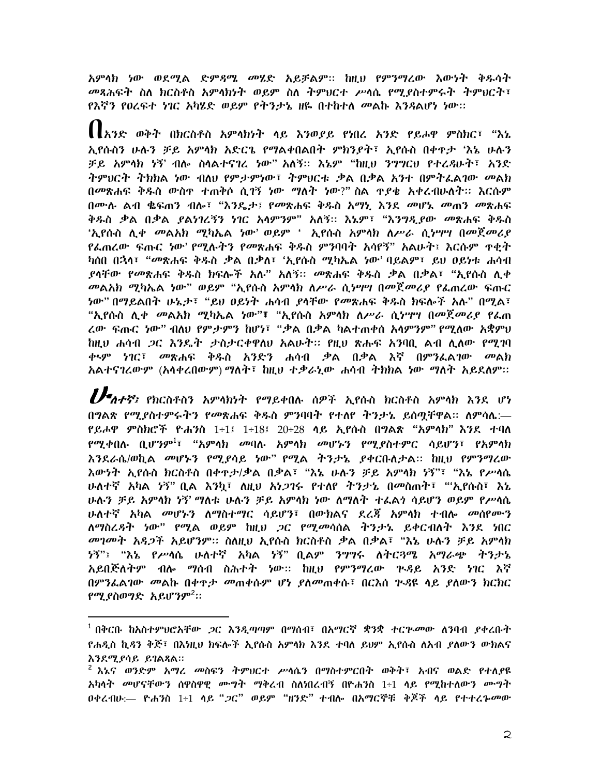አምሳክ ነው ወደሚል ድም*ጻሜ መ*ሄድ አይቻልም። ከዚህ የምንማረው እውነት ቅዱሳት መጻሕፍት ስለ ክርስቶስ አምሳክነት ወይም ስለ ትምህርተ ሥሳሴ የሚያስተምሩት ትምህርት፣ የእኛን የዐረፍተ *ነገ*ር *አካሄድ ወይም የትንታ*ኔ ዘዬ በተከተለ መልኩ እንጻልሆነ ነው።

【 [አንድ ወቅት በክርስቶስ አምሳክነት ላይ እንወያይ የነበረ አንድ የይሖዋ ምስክር፣ "እኔ ኢየሱስን ሁሉን ቻይ አምላክ አድርጌ የማልቀበልበት ምክንደት፣ ኢየሱስ በቀጥታ 'እኔ ሁሉን ቻይ አምሳክ ነኝ' ብሎ ስሳልተናገረ ነው" አለኝ፡፡ እኔም "ከዚህ ንግግርህ የተረዳሁት፣ አንድ ትምህርት ትክክል ነው ብለህ የምታምነው፣ ትምህርቱ ቃል በቃል አንተ በምትፌልገው መልክ በመጽሐፍ ቅዱስ ውስዋ ተጠቅሶ ሲገኝ ነው ማለት ነው?"ስል ዋደቄ አቀረብሁለት፡፡ እርሱም በሙሉ ልብ ቈፍጠን ብሎ፣ "እንዴታ፤ የመጽሐፍ ቅ**ፉስ አማኒ እንደ መሆ**ኔ መጠን መጽሐፍ ቅዱስ ቃል በቃል *ያልነገ*ረኝን ነገር አሳምንም" አለኝ። እኔም፣ "እንግዲያው *መ*ጽሐፍ ቅዱስ 'ኢየሱስ ሊቀ *መ*ልአክ ሚካኤል ነው' ወይም ' ኢየሱስ አምሳክ ለሥራ ሲነሣሣ በመጀመሪያ የፌጠረው ፍጡር ነው' የሚሉትን የመጽሐፍ ቅዱስ ምንባባት አሳየኝ" አልሁት፤ እርሱም ዋቂት ካሰበ በኋላ፣ "*መ*ጽሐፍ ቅዱስ *ቃ*ል በቃለ፣ 'ኢየሱስ ሚካኤል ነው' ባይልም፣ ይህ ዐይነቱ ሐሳብ ያሳቸው *የመ*ጽሐፍ ቅዱስ ክፍሎች አሉ" አለኝ። *መ*ጽሐፍ ቅዱስ ቃል በቃል፣ "ኢየሱስ ሊቀ *መ*ልአክ ሚካኤል *ነ*ው" ወይም "ኢየሱስ አምሳክ ለሥራ ሲነሣሣ በመጀመሪያ የፌጠረው ፍጡር *ነ*ው" በማይልበት ሁኔ*ታ*፣ "ይህ ዐይነት ሐሳብ ያሳቸው የመጽሐፍ ቅዱስ ክፍሎች አሉ" በሚል፣ "ኢየሱስ ሊቀ *መ*ልአክ ሚካኤል ነው"፣ "ኢየሱስ አምሳክ ለሥራ ሲነሣሣ በመጀመሪያ የፌጠ ረው ፍጡር ነው" ብለህ የምታምን ከሆነ፣ "ቃል በቃል ካልተጠቀሰ አሳምንም" የሚለው አቋምህ ከዚህ ሐሳብ *ጋ*ር እንዴት ታስታርቀዋለህ አልሁተ፡፡ የዚህ ጽሑፍ አንባቢ ልብ ሊለው የሚገባ ቀ<u>ጭ ነገር፣ መጽሐፍ ቅዱስ አንድን ሐሳብ ቃል በቃል እኛ በምን</u>ፌልገው *መ*ልክ አልተናገረውም (አላቀረበውም) ማለት፣ ከዚህ ተቃራኒው ሐሳብ ተክክል ነው ማለት አይደለም።

 $\boldsymbol{U}$ ብተኛ፤ የክርስቶስን አምላክነት የማይቀበሉ ሰዎች ኢየሱስ ክርስቶስ አምላክ እንደ ሆነ በግልጽ የሚያስተምሩትን የመጽሐፍ ቅዱስ ምንባባት የተለየ ትንታኔ ይሰጣቸዋል። ለምሳሌ:— *የይሖዋ ምስክሮች ዮሐን*ስ 1÷1፤ 1÷18፤ 20÷28 ሳይ ኢየሱስ በ**ግልጽ "አምሳክ" እንደ ተባ**ለ *የሚቀ*በሉ ቢሆንም<sup>1</sup>፣ "አምሳክ መባሉ አምሳክ መሆኑን የሚያስተምር ሳይሆን፣ የአምሳክ እንደራሴ/ወኪል መሆኑን የሚደሳይ ነው" የሚል ትንታኔ ደቀርቡለታል፡፡ ከዚህ የምንማረው እውንት ኢየሱስ ክርስቶስ በቀዋታ/ቃል በቃል፣ "እኔ ሁሉን ቻይ አምላክ ነኝ"፣ "እኔ የሥላሴ ሁለተኛ አካል ሃኝ" ቢል እንኳ፣ ለዚህ አነ*ጋ*ገሩ የተለየ ትንታኔ በመስጠት፣ "'ኢየሱስ፣ እኔ ሁሉን ቻይ አምሳክ ነኝ' ማለቱ ሁሉን ቻይ አምሳክ ነው ለማለት ተፌልጎ ሳይሆን ወይም የሥሳሴ ሁለተኛ አካል መሆኑን ለማስተማር ሳይሆን፣ በውክልና ደረጃ አምላክ ተብሎ መሰየሙን ለማስረዳት ነው" የሚል ወይም ከዚህ *ጋ*ር የሚመሳሰል ትንታኔ ይቀርብለት እንደ ነበር *መገመት አጻጋች አይሆንም። ስለዚህ ኢየ*ሱስ ክርስቶስ ቃል በቃል፣ "እኔ ሁሉን ቻይ አምላክ *ነ*ኝ"፤ "እኔ የሥሳሴ ሁለተኛ አካል ነኝ" ቢልም ንግግሩ ለትር*ጓ*ሜ አማራጭ ትንታኔ አይበጅለትም ብሎ ማሰብ ስሕተት ነው፡፡ ከዚህ የምንማረው ጕዳይ አንድ ነገር እኛ በምንፌልገው *መ*ልኩ በቀ<u>ምታ መጠቀሱም ሆነ ደለመጠቀሱ፤ በርእስ ጕዳዩ ላይ ደለውን ክር</u>ክር *የማ* ያስወግድ አይሆንም<sup>2</sup>።

<sup>&</sup>lt;sup>1</sup> በቅርቡ ከአስተምሀሮአቸው *ጋ*ር እንዲጣጣም በማሰብ፣ በአማርኛ ቋንቋ ተርጕ*መ*ው ለንባብ *ያቀ*ረቡት የሐዲስ ኪዳን ቅጅ፣ በእነዚህ ክፍሎች ኢየሱስ አምላክ እንደ ተባለ ይህም ኢየሱስ ለአብ ያለውን ውክልና እንደሚያሳይ ይገልጻል።

 $^2$  እኔና ወንድም አማሪ መስፍን ትምህርተ ሥሳሴን በማስተምርበት ወቅት፣ አብና ወልድ የተለያዩ አካሳት *መ*ሆናቸውን ሰዋስዋዊ ሙግት ማቅረብ ስለነበረብኝ በዮሐንስ 1÷1 ሳይ የሚከተለውን ሙግት 0ቀረብሁ:— ዮሐንስ 1÷1 ሳይ "*ጋ*ር" ወይም "ዘንድ" ተብሎ በአማርኞቹ ቅጆች ሳይ የተተረኈ*መ*ው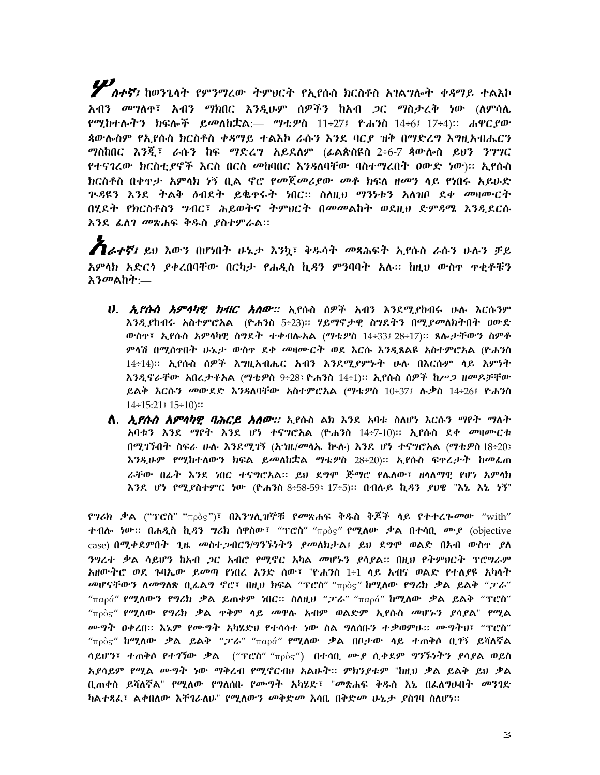**///**<br>// *ስተኛ፤* ከወንጌሳት የምንማረው ትምህርት የኢየሱስ ክርስቶስ አገልግሎት ቀዳማይ ተልእኮ *አብን መግ*ለዋ፣ *አብን ማክ*በር እንዲሁም ሰዎችን ከአብ *ጋ*ር ማስታረቅ ነው (ለምሳሌ የሚከተሉትን ክፍሎች ይመለከቷል:— ማቴዎስ 11÷27፤ ዮሐንስ 14÷6፤ 17÷4)። ሐዋር*ያ*ው ጳውሎስም የኢየሱስ ክርስቶስ ቀዳማይ ተልእኮ ራሱን እንደ ባርይ ዝቅ በማድረግ እግዚአብሔርን *ግ*ስከበር እንጂ፣ ራሱን ከፍ ማድረግ አይደለም (ፊልጵስዩስ 2÷6-7 ጳውሎስ ይህን ንግግር *የተናገሬው ክ*ርስቲ*ያኖች እ*ርስ በርስ *መ*ከባበር እንዳለባቸው ባስተማረበት ዐውድ ነው)፡፡ ኢየሱስ ክርስቶስ በቀዋታ አምሳክ ነኝ ቢል ኖሮ የመጀመሪያው መቶ ክፍለ ዘመን ላይ የነበሩ አይሁድ <u>ጕዳዩን እንደ ትልቅ ዕብደት ይቈዯሩት ነበር፡፡ ስለዚህ ማንነቱን አለዝቦ ደቀ መዛሙርት</u> በሂደት የክርስቶስን ግብር፣ ሕይወትና ትምህርት በመመልከት ወደዚህ ድምጻሜ እንዲደርሱ እንደ ፌስገ መጽሐፍ ቅዱስ ያስተምራል።

 $\boldsymbol{A}$ ራተኛ፤ ይህ እውን በሆነበት ሁኔታ እንኳ፤ ቅዱሳት መጻሕፍት ኢየሱስ ራሱን ሁሉን ቻይ አምሳክ አድርጎ ያቀረበባቸው በርካታ የሐዲስ ኪዳን ምንባባት አሉ። ከዚህ ውስዋ ዋቂቶቹን እንመልከት:—

- U. *ኢየሱስ አምሳካዊ ክብር አለው። ኢ*የሱስ ሰዎች አብን እንደሚደከብሩ ሁሉ እርሱንም እንዲያከብሩ አስተምሮአል (ዮሐንስ 5÷23)፡፡ ሃይማኖታዊ ስግደትን በሚደመለክትበት ዐውድ ውስዋ፣ ኢየሱስ አምሳካዊ ስግደት ተቀብሎአል (ማቴዎስ 14÷33፤ 28÷17)፡፡ ጸሎታቸውን ስምቶ ምሳሽ በሚሰዋበት ሁኔታ ውስዋ ደቀ መዛሙርት ወደ እርሱ እንዲጸልዩ አስተምሮአል (ዮሐንስ 14÷14)፡፡ ኢየሱስ ሰዎች እግዚአብሔር አብን እንደሚደምኑት ሁሉ በእርሱም ላይ እምነት እንዲኖራቸው አበረታቶአል (ማቴዎስ 9÷28፤ ዮሐንስ 14÷1)። ኢየሱስ ሰዎች ከሥጋ ዘመዶቻቸው ይልቅ እርሱን መውደድ እንጻለባቸው አስተምሮአል (ማቴዎስ 10÷37፤ ሉቃስ 14÷26፤ ዮሐንስ  $14 \div 15:21$  :  $15 \div 10$ )::
- **ለ.** *ኢየሱስ አምሳካዊ ባሕርይ አለው።* **ኢ**የሱስ ልክ እንደ አባቱ ስለሆነ እርሱን ማየት ማለት አባቱን እንደ ማየት እንደ ሆነ ተናግሮአል (ዮሐንስ 14÷7-10)፡፡ ኢየሱስ ደቀ መዛሙርቱ በሚገኙበት ስፍራ ሁሉ እንደሚገኝ (አኀዜ/መሳኤ ከኣሉ) እንደ ሆነ ተናግሮአል (ማቴዎስ 18÷20፤ እንዲሁም የሚከተለውን ክፍል ይመለከቷል ማቴዎስ 28÷20)፡፡ ኢየሱስ ፍዋረታት ከመፌጠ ራቸው በፊት እንደ ነበር ተናግሮአል። ይህ ደግሞ ጅማሮ የሌለው፣ ዘሳለማዊ የሆነ አምሳክ እንደ ሆነ የሚያስተምር ነው (ዮሐንስ 8÷58-59፤ 17÷5)። በብሉይ ኪዳን ያህዌ "እኔ እኔ ነኝ"

ኖግሪክ ቃል ("ፕሮስ" "πρὸς")፣ በእንግሊዝኞቹ የመጽሐፍ ቅዱስ ቅጆች ላይ የተተረኈመው "with" ተብሎ *ነ*ው፡፡ በሐዲስ ኪ*ዳን ግሪክ* ሰዋስው፣ "ፕሮስ" "<sub>πρ</sub>òς" **የሚለው ቃል በተሳቢ ሙያ** (objective case) በሚቀደምበት ጊዜ መስተ*ጋ*ብርን/ግንኙነትን ያመለክታል፤ ይህ ደግሞ ወልድ በአብ ውስዋ ያለ ንግረተ ቃል ሳይሆን ከአብ *ጋ*ር አብሮ የሚኖር አካል መሆኑን ያሳያል። በዚህ የትምህርት ፕሮግራም አዘውተሮ ወደ ጉባኤው ይመጣ የነበረ አንድ ሰው፣ "ዮሐንስ 1÷1 ላይ አብና ወልድ የተለያዩ አካላት መሆናቸውን ለመግለጽ ቢፌልግ ኖሮ፣ በዚህ ክፍል "ፕሮስ" "πρὸς" ከሚለው የግሪክ ቃል ይልቅ "*ፓ*ራ" "παρά" **የሚለውን የግሪክ ቃል ይጠቀም ነበር። ስለዚህ "ፓራ**" "παρά" **ከሚለው ቃል ይልቅ** "ፕሮስ"  $"$ <sub>πρ</sub>ὸς" የሚለው የግሪክ ቃል ዋቅም ሳይ መዋሉ አብም ወልድም ኢየሱስ መሆኑን ያሳያል" የሚል ሙግት ዐቀረበ። እኔም የሙግት አካሄድህ የተሳሳተ ነው ስል ግለሰቡን ተቃወምሁ። ሙግተህ፣ "ፕሮስ" "πρὸς" **ከሚለው ቃል ይልቅ "ፓራ**" "παρά" **የሚለው ቃል በቦታው ላይ ተጠቅሶ ቢገኝ ይሻለኛል** ሳይሆን፣ ተጠቅሶ የተገኘው ቃል ("ፕሮስ" "πρὸς") በተሳቢ ሙያ ሲቀደም ግንኙነትን ያሳያል ወይስ አያሳይም የሚል ሙግት ነው ማቅረብ የሚኖርብሀ አልሁት፡፡ ምክንያቱም "ከዚህ ቃል ይልቅ ይህ ቃል ቢጠቀስ ይሻለኛል" የሚለው የግለሰቡ የሙግት አካሄድ፣ "መጽሐፍ ቅዱስ እኔ በፌለግሁበት መንገድ ካልተጻፌ፣ ልቀበለው እቸገራለሁ" የሚለውን *መቅድመ* እሳቤ በቅድ*መ* ሁኔ*ታ ያ*ስገባ ስለሆነ።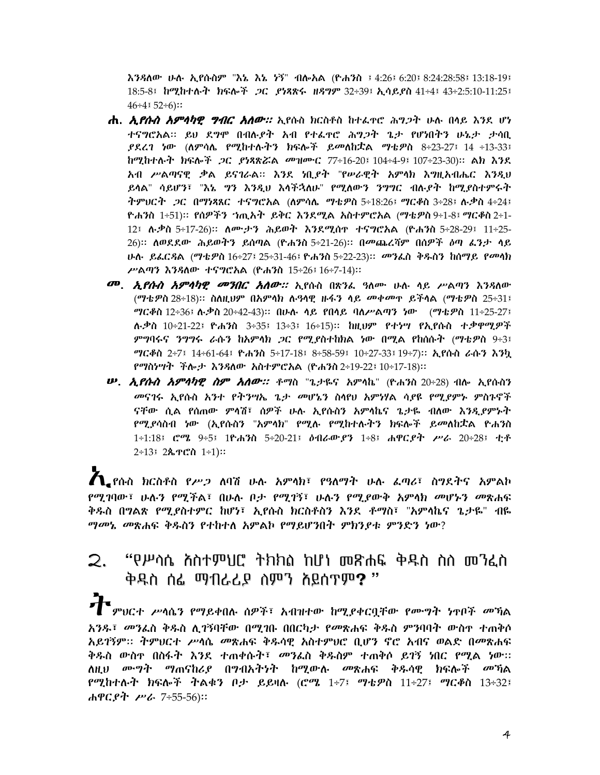እንዳለው ሁሉ ኢየሱስም "እኔ እኔ ነኝ" ብሎአል (ዮሐንስ ፤ 4:26፤ 6:20፤ 8:24:28:58፤ 13:18-19፤ 18:5-8፤ ከሚከተሉት ክፍሎች ጋር ያነጻጽሩ ዘዳግም 32÷39፤ ኢሳይያስ 41÷4፤ 43÷2:5:10-11:25፤  $46 \div 4:52 \div 6$ ::

- **ሐ.** *ኢየሱስ አምሳካዊ ግብር አለው።* **ኢ**የሱስ ክርስቶስ ከተፈዋሮ ሕግጋት ሁሉ በላይ እንደ ሆነ ተናግሮአል፡፡ ይህ ደግሞ በብሉያት አብ የተፌኖሮ ሕግጋት ጌታ የሆነበትን ሁኔታ ታሳቢ  $R$ ደረገ ነው (ለምሳሌ የሚከተሉትን ክፍሎች ይመለከቷል ማቴዎስ 8÷23-27፤ 14 ÷13-33፤ ከሚከተሉት ክፍሎች *ጋ*ር *ያነጻጽሯ*ል መዝሙር 77÷16-20፤ 104÷4-9፤ 107÷23-30)። ልክ እንደ አብ ሥልጣናዊ ቃል ይናገራል። እንደ ነቢያት "የሥራዊት አምሳክ እግዚአብሔር እንዲህ ይሳል" ሳይሆን፣ "እኔ *ግን እንዲህ እሳችኋ*ለሁ" የሚለውን *ንግግ*ር ብሉ<sub>፡</sub>ዖት ከሚያስተምሩት ትምህርት ጋር በማነጻጸር ተናግሮአል (ለምሳሌ ማቴዎስ 5÷18:26፤ ማርቆስ 3÷28፤ ሉቃስ 4÷24፤ ዮሐንስ 1÷51)። የሰዎችን ኀጢአት ይቅር እንደሚል አስተምሮአል (ማቴዎስ 9÷1-8፤ ማርቆስ 2÷1-12፤ ሉ.ቃስ 5÷17-26)። ለሙ.ታን ሕይወት እንደሚሰዋ ተናግሮአል (ዮሐንስ 5÷28-29፤ 11÷25-26)። ለወደደው ሕይወትን ይሰጣል (ዮሐንስ 5÷21-26)። በመጨረሻም በሰዎች ዕጣ ፌንታ ሳይ ሁሉ ይፌርዳል (ማቴዎስ 16÷27፤ 25÷31-46፤ ዮሐንስ 5÷22-23)። መንፌስ ቅዱስን ከሰማይ የመላክ ሥልጣን እንዳለው ተናግሮአል (ዮሐንስ 15÷26፤ 16÷7-14)::
- መ. *ኢየሱስ አምሳካዊ መንበር አሰው።* ኢየሱስ በጽንፌ ዓለሙ ሁሉ ላይ ሥልጣን እንዳለው (ማቴዎስ 28÷18)። ስለዚህም በአምሳክ ሉዓሳዊ ዙፋን ሳይ መቀመዋ ይችሳል (ማቴዎስ 25÷31፤ *ግርቆ*ስ 12÷36፤ ሉ.ቃስ 20÷42-43)። በሁሉ ላይ የበላይ ባለሥልጣን ነው (ማቴዎስ 11÷25-27፤ ሉ.ቃስ 10÷21-22፤ ዮሐንስ 3÷35፤ 13÷3፤ 16÷15)፡፡ ከዚህም የተነሣ የኢየሱስ ተ.ቃዋሚዎች ምግባሩና ንግግሩ ራሱን ከአምሳክ ጋር የሚያስተከክል ነው በሚል የከሰሱት (ማቴዎስ 9÷3፤ ማርቆስ 2÷7፤ 14÷61-64፤ ዮሐንስ 5÷17-18፤ 8÷58-59፤ 10÷27-33፤ 19÷7)። ኢየሱስ ራሱን እንኳ የማስነሣት ችሎታ እንዳለው አስተምሮአል (ዮሐንስ 2÷19-22፤ 10÷17-18)::
- **ሥ.** *ኢየሱስ አምሳካዊ ስም አለው።* **ቶ**ማስ "ጌታዬና አምሳኬ" (ዮሐንስ 20÷28) ብሎ ኢየሱስን *መ*ናገሩ ኢየሱስ አንተ የትንሣኤ ጌ*ታ መ*ሆኔን ስላየሀ አምነሃል ሳ*ያ*ዩ የሚያምኑ ምስጉኖች ናቸው ሲል የሰጠው ምሳሽ፣ ሰዎች ሁሉ ኢየሱስን አምሳኬና ጌታዬ ብለው እንዲያምኑት *የሚያ*ሳስብ ነው (ኢየሱስን "አምሳክ" የሚሉ የሚከተሉትን ክፍሎች ይመለከቷል ዮሐንስ 1÷1:18፤ ሮሜ 9÷5፤ 1ዮሐንስ 5÷20-21፤ ዕብራውያን 1÷8፤ ሐዋርያት ሥራ 20÷28፤ ቲቶ  $2\div 13$   $2\&7C\&1\div 1$ :

 $\boldsymbol{\tilde{\Lambda}}$  የሱስ ክርስቶስ የሥጋ ለባሽ ሁሉ አምሳክ፣ የዓለማት ሁሉ ፌጣሪ፣ ስግደትና አምልኮ *የሚገ*ባው፣ ሁሉን የሚችል፣ በሁሉ ቦታ የሚገኝ፣ ሁሉን የሚደውቅ አምሳክ መሆኑን መጽሐፍ ቅዱስ በግልጽ የሚያስተምር ከሆነ፣ ኢየሱስ ክርስቶስን እንደ ቶማስ፣ "አምላኬና ጌታዬ" ብዬ ማመኔ መጽሐፍ ቅዱስን የተከተለ አምልኮ የማይሆንበት ምክንደቱ ምንድን ነው?

### "የሥሳሴ ስስተምህሮ ትክክስ ከሆነ መጽሐፍ ቅዱስ ስስ መንፈስ 2. ቅዱስ ሰፌ ማብራሪ**ይ ስምን ስይሰ**ጥም? "

 $\prod$ ምህርተ ሥሳሴን የማይቀበሉ ሰዎች፣ አብዝተው ከሚያቀርቧቸው የሙግት ነዋቦች መኻል አንዱ፣ *መን*ፌስ ቅዱስ ሊገኝባቸው በሚገቡ በበርካታ የመጽሐፍ ቅዱስ ምንባባት ውስ<u>ተ ተ</u>ጠቅሶ አይገኝም። ትምህርተ ሥሳሴ መጽሐፍ ቅዱሳዊ አስተምህሮ ቢሆን ኖሮ አብና ወልድ በመጽሐፍ ቅዱስ ውስ**ዯ በስፋት እንደ ተ**ጠቀሱት፣ *መን*ፌስ ቅዱስም ተጠቅሶ ይገኝ ነበር የሚል ነው። ለዚህ ሙ*ግት ማ*ጠናከሪደ በግብአትንት ከሚውሉ *መ*ጽሐፍ ቅዱሳዊ ክፍሎ*ች መ*ኘል የሚከተሉት ክፍሎች ትልቁን ቦታ ይይዛሉ (ሮሜ 1÷7፤ ማቴዎስ 11÷27፤ ማርቆስ 13÷32፤ ሐዋርያት ሥራ 7÷55-56)።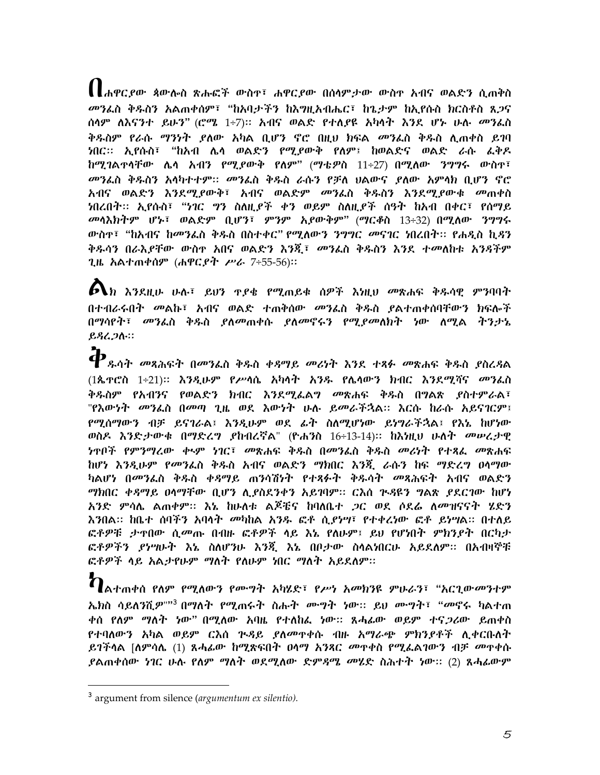▌▌ሐዋርያው ጳውሎስ ጽሑፎች ውስዋ፣ ሐዋርያው በሰላምታው ውስዋ አብና ወልድን ሲጠቅስ መንፌስ ቅዱስን አልጠቀሰም፣ "ከአባታችን ከእግዚአብሔር፣ ከጌታም ከኢየሱስ ክርስቶስ ጸ*ጋ*ና ሰሳም ለእናንተ ይሁን" (ሮ*ሜ* 1÷7)። አብና ወልድ የተለያዩ አካሳት እንደ ሆኑ ሁሉ *መን*ፌስ ቅዱስም የራሱ *ማንነት ደ*ለው አካል ቢሆን ኖሮ በዚህ ክፍል *መ*ንፌስ ቅዱስ ሊጠቀስ ይገባ ነበር። ኢየሱስ፣ "ከአብ ሌሳ ወልድን የሚያውቅ የለም፤ ከወልድና ወልድ ራሱ *ፌ*ቅዶ ከሚገልተሳቸው ሌሳ አብን የሚያውቅ የለም" (ማቴዎስ 11÷27) በሚለው *ንግግ*ሩ ውስተ፣ *መን*ፌስ ቅዱስን አሳካተተም፡፡ *መን*ፌስ ቅዱስ ራሱን የቻለ ሀልውና ደለው አምሳክ ቢሆን ኖሮ *አብና ወ*ልድን እንደሚደውቅ፣ አብና ወልድም *መን*ፌስ ቅዱስን እንደሚደውቁ *መ*ጠቀስ ነበረበት፡፡ ኢየሱስ፣ "ነገር *ግ*ን ስለዚ*ያች ቀን ወይም* ስለዚ*ያች* ሰዓት ከአብ በቀር፣ የሰማይ መሳእክትም ሆኑ፣ ወልድም ቢሆን፣ ምንም አያውቅም" (ማርቆስ 13÷32) በሚለው ንግግሩ ውስዋ፣ "ከአብና ከመንፌስ ቅዱስ በስተቀር" የሚለውን ንግግር መናገር ነበረበት፡፡ የሐዲስ ኪዳን ቅዱሳን በራእ*ያቸው ው*ስዋ አበና ወልድን እንጂ፣ *መን*ፈስ ቅዱስን እንደ ተመለከቱ አንጻችም ጊዜ አልተጠቀሰም (ሐዋርያት ሥራ 7÷55-56)።

 $\bigoplus$ ክ እንደዚሁ ሁሉ፣ ይህን ዋይቄ የሚጠይቁ ሰዎች እነዚህ መጽሐፍ ቅዱሳዊ ምንባባት በተብራሩበት *መ*ልኩ፣ አብና ወልድ ተጠቀሰው *መን*ፌስ ቅዱስ ደልተጠቀሰባቸውን ክፍሎች በማሳየት፣ *መን*ፌስ ቅዱስ ያለመጠቀሱ ያለመኖሩን የሚያመለክት ነው ለሚል ትንታኔ ይዳረ*ጋ*ሉ።

 $\boldsymbol{\varphi}_{\scriptscriptstyle{\mathit{g}},{\scriptscriptstyle{\mathit{0}}}$ ት መጻሕፍት በመንፌስ ቅዱስ ቀዳሚይ መሪነት እንደ ተጻፉ መጽሐፍ ቅዱስ ያስረዳል (1ጴዋሮስ 1÷21)፡፡ እንዲሁም የሥሳሴ አካሳት አንዱ የሌሳውን ክብር እንደሚሻና *መን*ፌስ ቅዱስም የአብንና የወልድን ክብር እንደሚፌልግ *መ*ጽሐፍ ቅዱስ በግልጽ *ደ*ስተምራል፣ "የእውነት መንፌስ በመጣ ጊዜ ወደ እውነት ሁሉ ይመራችኋል። እርሱ ከራሱ አይናገርም፤ የሚሰማውን ብቻ ይናገራል፤ እንዲሁም ወደ ፊት ስለሚሆነው ይነግራችኋል፤ የእኔ ከሆነው ወስዶ እንድታውቁ በማድረግ ያከብረኛል" (ዮሐንስ 16÷13-14)። ከእነዚህ ሁለት መሠረታዊ *ነ*ጥቦች የምንማረው ቀ<u>ጭ ነገር፣ መጽሐፍ ቅዱስ በመንፈስ ቅዱስ መሪ</u>ነት የተጻፌ መጽሐፍ ከሆነ እንዲሁም የመንፌስ ቅዱስ አብና ወልድን ማክበር እንጂ ራሱን ከፍ ማድረግ ዐሳማው *ካ*ልሆነ በ*መን*ፌስ ቅዱስ ቀዳማይ ጠንሳሽነት የተጻፉት ቅዱሳት *መ*ጻሕፍት አብና ወልድን *ግክ*በር *ቀዳግይ* ዐሳማቸው ቢሆን ሊደስደንቀን አይገባም፡፡ ርእስ ጕ*ዳ*ዶን ግልጽ *ደ*ደርገው ከሆነ አንድ ምሳሌ ልጠቀም። እኔ ከሁለቱ ልጆቼና ከባለቤተ *ጋ*ር ወደ ሶደሬ ለመዝናናት ሂድን እንበል፡፡ ከቤተ ሰባችን አባሳት *መካ*ከል አንዱ ፎቶ ሲ*ያነግ*፣ የተቀረነው ፎቶ ይነሣል፡፡ በተለይ ፎቶዎቹ ታዋበው ሲመጡ በብዙ ፎቶዎች ላይ እኔ የለሁም፤ ይህ የሆነበት ምክንያት በርካታ ፎቶዎችን ያነሣሁት እኔ ስለሆንሁ እንጂ እኔ በቦታው ስላልነበርሁ አይደለም። በአብዛኞቹ ፎቶዎች ሳይ አልታየሁም ማለት የለሁም ነበር ማለት አይደለም።

ን ፡፡<br>በአተጠቀሰ የለም የሚለውን የሙግት አካሄድ፣ የሥነ አመክንዩ ምሁራን፣ "አርጊው*ሙ*ንተም *ኤክ*ስ ሳይለንሺ*ዎ*""<sup>3</sup> በማለት የሚጠሩት ስሑት ሙუት ነው:: ይህ ሙუት፣ "መኖሩ ካልተጠ ቀሰ የለም ማለት ነው" በሚለው አባዜ የተለከፌ ነው። ጸሓፊው ወይም ተና*ጋ*ሪው ይጠቀስ የተባለውን አካል ወይም ርእሰ ጕዳይ ያለመዋቀሱ ብዙ አማራጭ ምክንያቶች ሊቀርቡለት ይገችሳል [ለምሳሌ (1) ጸሓፊው ከሚጽፍበት ዐሳማ አንጻር መዋቀስ የሚፌልገውን ብቻ መዋቀሱ ያልጠቀሰው *ነገ*ር ሁሉ የለም ማለት ወደሚለው ድም*ጻሜ መ*ሄድ ስሕተት ነው:: (2) ጸሓ*ፌ*ውም

<sup>&</sup>lt;sup>3</sup> argument from silence (argumentum ex silentio).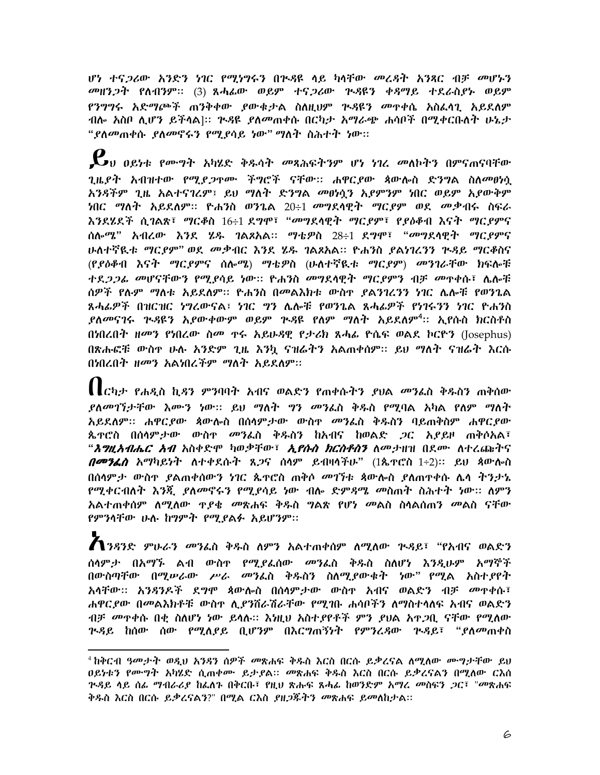ሆነ ተና*ጋ*ሪው አንድን ነገር የሚነግሩን በጒዳዩ ላይ ካላቸው *መ*ረዳት አንጻር ብቻ *መ*ሆኑን መዘንጋት የለብንም። (3) ጸሓፊው ወይም ተናጋሪው ጕዳዩን ቀዳማይ ተደራስያኑ ወይም *የንግግ*ሩ አድ*ማጮች* ጠንቅቀው ያውቁታል ስለዚህም ጕ*ዳ*ዩን መዋቀሴ አስፌሳጊ አይደለም ብሎ አስቦ ሊሆን ይችላል]። ጕ*ጻ*ዩ *ያ*ለመጠቀሱ በርካታ አማራጭ ሐሳቦች በሚቀርቡለት ሁኔታ "*ያ*ለመጠቀሱ *ያለመኖሩን የሚያ*ሳይ ነው" ማለት ስሕተት ነው።

 $\boldsymbol{\ell}$ <sub>ህ ዐይነቱ የሙግት አካሄድ ቅዱሳት መጻሕፍትንም ሆነ ነገረ መለኮትን በምናጠናባቸው</sub> *ጊዜደት አብዝተው የሚደጋዋሙ ችግሮች ናቸው። ሐዋርደው ጳ*ውሎስ ድንግል ስለ*መፀነ*ሷ አንዳችም ጊዜ አልተናገረም፤ ይህ ማለት ድንግል መፀነሷን አደምንም ነበር ወይም አደውቅም ነበር ማለት አይደለም። ዮሐንስ ወንጌል 20÷1 መግደሳዊት ማር*ያም* ወደ መቃብሩ ስፍራ እንደሄደች ሲገልጽ፣ *ማርቆ*ስ 16÷1 ደ*ግ*ሞ፣ "መግደሳዊት ማር*ያም*፣ የ*ያ*ዕቆብ እናት ማርያምና ሰሎ*ሜ*" አብረው እንደ ሂዱ ገልጾአል። ማቴዎስ 28÷1 ደግሞ፣ "መግደሳዊት *ግርያምና* ሁለተኛዪቱ *ግርያም"* ወደ *መ*ቃብር እንደ ሄዱ ገልጾአል። ዮሐንስ ያልነገሪንን ጕዳይ ግርቆስና (የያዕቆብ እናት ማርያምና ሰሎሜ) ማቴዎስ (ሁለተኛዪቱ ማርያም) መንገራቸው ክፍሎቹ ተደ*ጋጋፌ መ*ሆናቸውን የሚደሳይ ነው። ዮሐንስ መግደሳዊት ማር*ደ*ምን ብቻ መዋቀሱ፣ ሌሎቹ ሰዎች የሉም ማለቱ አይደለም። ዮሐንስ በመልእክቱ ውስዋ ያልንገረንን ነገር ሌሎቹ የወንጌል ጸሓፊዎች በዝርዝር ነግረውናል፤ ነገር ግን ሌሎቹ የወንጌል ጸሓፊዎች የነገሩንን ነገር ዮሐንስ *ደለመናገ*ሩ ጕ*ዳ*ዩን አደውቀውም ወይም ጕዳዩ የለም ማለት አይደለም<sup>4</sup>፡፡ ኢየሱስ ክርስቶስ በነበረበት ዘመን የነበረው ስመ ዋሩ አይሁዳዊ የታሪክ ጸሓፊ ዮሴፍ ወልደ ኮርዮን (Josephus) በጽሑፎቹ ውስዋ ሁሉ አንድም ጊዜ እንኳ ናዝሬትን አልጠቀሰም። ይህ ማለት ናዝሬት እርሱ በነበረበት ዘመን አልነበረችም ማለት አይደለም።

 $\prod_{\mathcal{L}}$ ካታ የሐዲስ ኪዳን ምንባባት አብና ወልድን የጠቀሱትን ያህል መንፌስ ቅዱስን ጠቅሰው ያለመገኘታቸው እሙን ነው። ይህ ማለት *ግን መን*ፌስ ቅዱስ የሚባል አካል የለም ማለት አይደለም። ሐዋርያው ጳውሎስ በሰሳምታው ውስዋ መንፌስ ቅዱስን ባይጠቅስም ሐዋርያው ጴዯሮስ በሰሳም*ታው ውስዯ መን*ፌስ ቅዱስን ከአብና ከወልድ *ጋ*ር አ*ያይ*ዞ ጠቅሶአል፣ "*እግዚአብሔር አብ* አስቀድሞ ካወቃቸው፣ *ኢየሱስ ክርስቶስን* ለመታዘዝ በደሙ ለተረጨትና በመንፈስ አማካይነት ለተቀደሱት ጸ*ጋ*ና ሰሳም ይብዛሳችሁ" (1ጴዋሮስ 1÷2)። ይህ ጳውሎስ በሰሳም*ታ ው*ስዋ *ያ*ልጠቀሰውን ነገር ጴዋሮስ ጠቅሶ *መገኘቱ ጳ*ውሎስ ያለጠዋቀሱ ሌሳ ትንታኔ <u>የሚቀርብለት እንጂ ያለመኖሩን የሚያሳይ ነው ብሎ ድምዳሜ መስጠት ስሕተት ነው፡፡ ለምን</u> አልተጠቀሰም ለሚለው ዋ*ያቄ መ*ጽሐፍ ቅዱስ **ግልጽ የሆ**ነ መልስ ስሳልሰጠን መልስ ናቸው የምንሳቸው ሁሉ ከግምት የሚያልፉ አይሆንም።

**1** ንዳንድ ምሁራን መንፌስ ቅዱስ ለምን አልተጠቀሰም ለሚለው ጕዳይ፣ "የአብና ወልድን ሰሳም*ታ* በአማኙ ልብ ውስዋ የሚያፌሰው *መን*ፌስ ቅዱስ ስለሆነ እንዲሁም አማኞች በውስጣቸው በሚሥራው ሥራ መንፌስ ቅዱስን ስለሚያውቁት ነው" የሚል አስተያየት አሳቸው፡፡ አንዳንዶች ደግሞ ጳውሎስ በሰሳምታው ውስዋ አብና ወልድን ብቻ መዋቀሱ፣ ሐዋር ደው በመልእክቶቹ ውስት ሊደንሽራሽራቸው የሚገቡ ሐሳቦችን ለማስተሳለፍ አብና ወልድን ብቻ መዋቀሱ በቂ ስለሆነ ነው ይላሉ። እነዚህ አስተያየቶች ምን ያህል አዋጋቢ ናቸው የሚለው ጕ*ዳ*ይ ከሰው ሰው የሚለደይ ቢሆንም በእርግጠኝነት የምንረዳው ጕዳይ፣ "ደለመጠቀስ

<sup>&</sup>lt;sup>4</sup> ከቅርብ ዓመታት ወዲህ አንዳን ሰዎች *መ*ጽሐፍ ቅዱስ እርስ በርሱ ይቃረናል ለሚለው ሙግታቸው ይህ ዐይነቱን የሙ**ግት አካሄድ ሲ**ጠቀሙ ይታያል። *መ*ጽሐፍ ቅዱስ እርስ በርሱ ይቃረናልን በሚለው ርእሰ <u>ጕዳይ ላይ ሰፊ ማብራሪደ ከፌለጉ በቅርቡ፣ የዚህ ጽሑፍ ጸሓፊ ከወንድም አማሪ መስፍን ጋር፣ "መጽሐፍ</u> ቅዱስ እርስ በርሱ ይቃረናልን?" በሚል ርእስ *ያዘጋ*ጁትን መጽሐፍ ይመለከታል።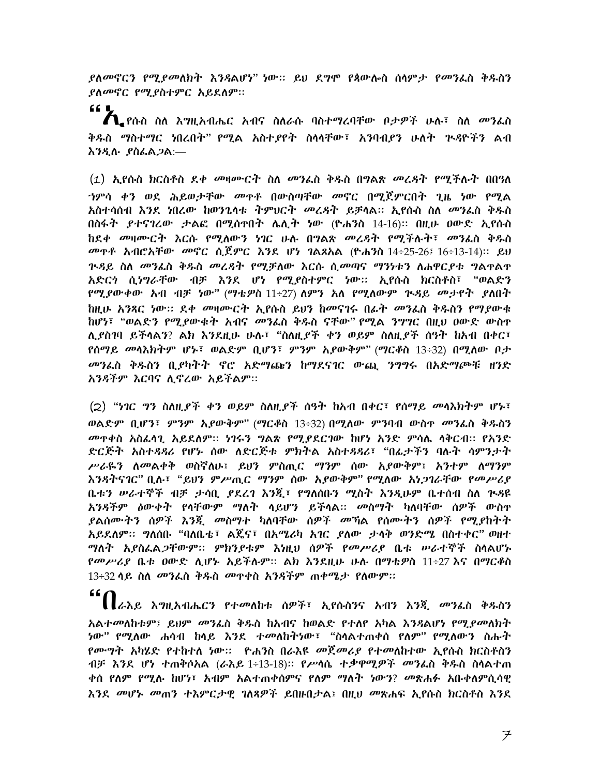*ያለመኖርን የሚያመለክት እንጻ*ልሆነ" ነው። ይህ ደ*ግ*ሞ የጳውሎስ ሰላም*ታ የመን*ፌስ ቅዱስን ያለመኖር የሚያስተምር አይደለም።

66 Q  $\bigwedge$  የሱስ ስለ እግዚአብሔር አብና ስለራሱ ባስተማረባቸው ቦታዎች ሁሉ፣ ስለ መንፌስ ቅዱስ ማስተማር ነበረበት" የሚል አስተያየት ስላላቸው፣ አንባብያን ሁለት ጕዳዮችን ልብ እንዲሉ ያስፌል*ጋ*ል:—

(1) ኢየሱስ ክርስቶስ ደቀ መዛሙርት ስለ መንፌስ ቅዱስ በግልጽ መረዳት የሚችሉት በበዓለ ኅምሳ ቀን ወደ ሕይወታቸው *መ*ዋቶ በውስጣቸው *መ*ኖር በማጀምርበት *ገ*ዜ ነው የማል አስተሳሰብ እንደ ነበረው ከወንጌሳቱ ትምህርት መረዳት ይቻሳል። ኢየሱስ ስለ መንፌስ ቅዱስ በስፋት ይተናገረው ታልፎ በሚሰተበት ሌሊት ነው (ዮሐንስ 14-16)፡፡ በዚሁ ዐውድ ኢየሱስ ከደቀ መዛሙርት እርሱ የሚለውን ነገር ሁሉ በግልጽ መረ*ዳ*ት የሚችሉት፣ መንፈስ ቅዱስ *መ*ዋቶ አብሮአቸው *መ*ኖር ሲጀምር እንደ ሆነ ገልጾአል (ዮሐንስ 14÷25-26፤ 16÷13-14)። ይህ <u>ጕዳይ ስለ መንፌስ ቅዱስ መረዳት የሚቻለው እርሱ ሲመጣና ማንነቱን ለሐዋርደቱ ግልዋልዋ</u> አድርጎ ሲነግራቸው ብቻ እንደ ሆነ የሚያስተምር ነው፡፡ ኢየሱስ ክርስቶስ፣ "ወልድን <u>የሚያውቀው አብ ብቻ ነው" (ማቴዎስ 11÷27) ለምን አለ የሚለውም ጕዳይ መታየት ያለበት</u> ከዚሁ አንጻር ነው። ደቀ *መ*ዛሙርት ኢየሱስ ይህን ከመናገሩ በፊት መንፈስ ቅዱስን የማደውቁ ከሆነ፣ "ወልድን የሚያውቁት አብና *መን*ፌስ ቀዱስ ናቸው" የሚል ንግግር በዚህ ዐውድ ውስተ ሊደስገባ ይችላልን? ልክ እንደዚሁ ሁሉ፣ "ስለዚደች ቀን ወይም ስለዚደች ሰዓት ከአብ በቀር፣ የሰማይ መሳእክትም ሆኑ፣ ወልድም ቢሆን፣ ምንም አይውቅም" (ማርቆስ 13÷32) በሚለው ቦታ መንፌስ ቅዱስን ቢያካትት ኖሮ አድማጩን ከማደናገር ውጪ ንግግሩ በአድማጮቹ ዘንድ አንዳችም እርባና ሊኖረው አይችልም።

(2) "ነገር ግን ስለዚያች ቀን ወይም ስለዚያች ሰዓት ከአብ በቀር፣ የሰማይ መሳእክትም ሆኑ፣ ወልድም ቢሆን፣ ምንም አደውቅም" (ማርቆስ 13÷32) በሚለው ምንባብ ውስዋ መንፌስ ቅዱስን *መ*ዋቀስ አስፈሳጊ አይደለም፡፡ *ነገሩን ግ*ልጽ የሚደደርገው ከሆነ አንድ ምሳሌ ሳቅርብ፡፡ የአንድ ድርጅት አስተዳዳሪ የሆኑ ሰው ለድርጅቱ ምክትል አስተዳዳሪ፣ "በፌታችን ባሉት ሳምንታት ሥራዬን ስመልቀቅ ወስኛስሁ፤ ይህን ምስጢር ማንም ሰው አያውቅም፤ አንተም ስማንም እንዳትናገር" ቢሉ፣ "ይህን ምሥጢር ማንም ሰው አያውቅም" የሚለው አነጋገራቸው የመሥሪያ ቤቱን ሥራተኞች ብቻ ታሳቢ ያደረገ እንጂ፣ የግለሰቡን ሚስት እንዲሁም ቤተሰብ ስለ ጕዳዩ አንዳችም ዕውቀት የሳቸውም ማለት ሳይሆን ይችሳል። መስማት ካለባቸው ሰዎች ውስዋ ያልሰሙትን ሰዎች እንጂ *መ*ስማተ ካለባቸው ሰዎች መኻል የሰሙትን ሰዎች የሚያከትት *ማ*ለት አያስፌል*ጋ*ቸውም። ምክንደቱም እነዚህ ሰዎች የመሥሪደ ቤቱ ሥራተኞች ስላልሆኑ *የመሥሪያ* ቤቱ ዐውድ ሲሆኑ አይችሉም። ልክ እንደዚሁ ሁሉ በማቴዎስ 11÷27 እና በማርቆስ 13÷32 ሳይ ስለ መንፌስ ቅዱስ መዋቀስ አንዳችም ጠቀሜታ የለውም።

"' 【【ራእይ እግዚአብሔርን የተመለከቱ ሰዎች፣ ኢየሱስንና አብን እንጂ መንፌስ ቅዱስን አልተመለከቱም፤ ይህም መንፌስ ቅዱስ ከአብና ከወልድ የተለየ አካል እንዳልሆነ የሚደመለክት *ነ*ው" የሚለው ሐሳብ ከላይ እንደ ተ*መ*ለከትነው፣ "ስላልተጠቀሰ የለም" የሚለውን ስሑት *የሙግት አካሄ*ድ የተከተለ ነው። ዮሐንስ በራእዩ *መጀመሪያ የተመ*ለከተው ኢየሱስ ክርስቶስን ብቻ እንደ ሆነ ተጠቅሶአል (ራእይ 1÷13-18)። የሥሳሴ ተቃዋሚዎች መንፌስ ቅዱስ ስሳልተጠ ቀሰ የለም የሚሉ ከሆነ፣ አብም አልተጠቀሰምና የለም ማለት ነውን? መጽሐፉ አቡቀለምሲሳዊ እንደ *መ*ሆኑ መጠን ተእምርታዊ ገለጻዎች ይበዙበታል፤ በዚህ መጽሐፍ ኢየሱስ ክርስቶስ እንደ

 $\neq$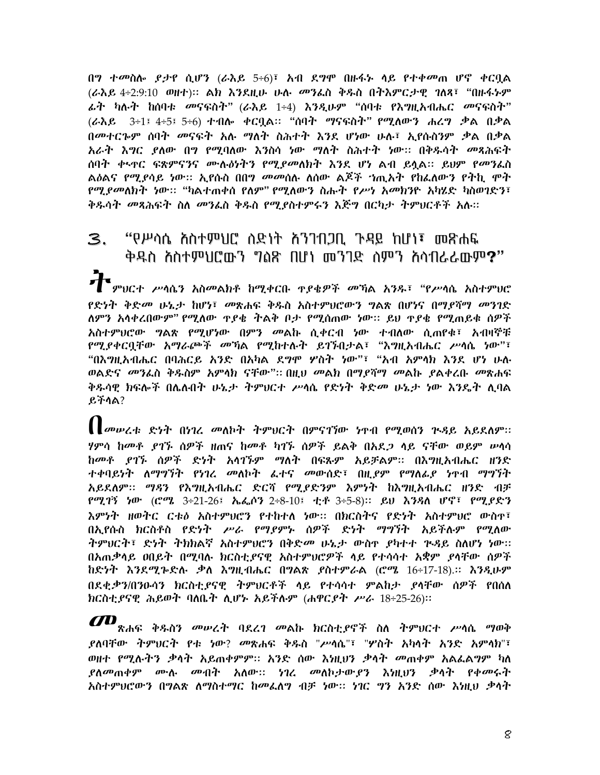በግ ተመስሎ *ያታ*የ ሲሆን (ራእይ 5÷6)፣ አብ ደግሞ በዙፋኑ ሳይ የተቀመጠ ሆኖ ቀርቧል (ራእይ 4÷2:9:10 ወዘተ)። ልክ እንደዚሁ ሁሉ መንፌስ ቅዱስ በትእምርታዊ ገለጻ፣ "በዙፋኑም *ፌት ካ*ሉት ከሰባቱ መናፍስት" (ራእይ 1÷4) እንዲሁም "ሰባቱ የእ*ግ*ዚአብሔር መናፍስት" (ራእይ 3÷1፤ 4÷5፤ 5÷6) ተብሎ ቀርቧል። "ሰባት ማናፍስት" የሚለውን ሐረግ ቃል በቃል በመተርጐም ሰባት መናፍት አሉ ማለት ስሕተት እንደ ሆነው ሁሉ፣ ኢየሱስንም ቃል በቃል አራት እግር ያለው በግ የሚባለው እንስሳ ነው ማለት ስሕተት ነው። በቅዱሳት መጻሕፍት ሰባተ ቀ<u>ኑዋር ፍጽምናንና ሙሉዕ</u>ነትን የሚደመለክት እንደ ሆነ ልብ ይሏል። ይህም የ*መን*ፌስ *የሚያመ*ለክት ነው። "ካልተጠቀሰ የለም" የሚለውን ስሑት የ*ሥነ አመክ*ንዮ አካሄድ ካስወገድን፣ ቅዱሳት *መጻሕ*ፍት ስለ መንፌስ ቅዱስ የሚያስተምሩን እጅግ በርካታ ትምህርቶች አሉ።

#### 3. "የሥሳሴ አስተምህር" ስድነት አንገብጋቢ ጉዳይ ከሆነ፣ መጽሐፍ ቅዱስ *እ*ስተምህሮውን ግልጽ በሆነ መንገድ ስምን አሳብራራውም**?**"

 $\boldsymbol{f}$  ምህርተ ሥሳሴን አስመልክቶ ከሚቀርቡ ዋያቄዎች መኻል አንዱ፣ "የሥሳሴ አስተምህሮ *የድነት ቅድመ ሁኔታ ከ*ሆነ፣ *መ*ጽሐፍ ቅዱስ አስተምህሮውን ግልጽ በሆነና በማ*ያ*ሻማ *መ*ንገድ ለምን አሳቀረበውም" የሚለው ዋደቄ ተልቅ ቦታ የሚሰጠው ነው። ይህ ዋደቄ የሚጠይቁ ሰዎች አስተምህሮው *ግ*ልጽ የሚሆነው በምን መልኩ ሲቀርብ ነው ተብለው ሲጠየቁ፣ አብዛኞቹ የሚያቀርቧቸው አማራጮች መኻል የሚከተሉት ይገኙበታል፣ "እግዚአብሔር ሥሳሴ ነው"፣ "በእግዚአብሔር በባሕርይ አንድ በአካል ደግሞ ሦስት ነው"፣ "አብ አምሳክ እንደ ሆነ ሁሉ ወልድና *መን*ፌስ ቅ**ዱስም አም**ሳክ ናቸው"። በዚህ መልክ በማ*ደ*ሻማ መልኩ ያልቀረቡ መጽሐፍ ቅዱሳዊ ክፍሎች በሌሉበት ሁኔታ ትምህርተ ሥሳሴ የድነት ቅድመ ሁኔታ ነው እንዴት ሊባል ይችሳል?

 $\prod$ መሥረቱ ድነት በነገረ መለኮት ትምህርት በምናገኘው ነዋብ የሚወሰን ጕዳይ አይደለም። ሃምሳ ከመቶ ደገኙ ሰዎች ዘጠና ከመቶ ካገኙ ሰዎች ይልቅ በአደ*ጋ* ላይ ናቸው ወይም ሥሳሳ ከመቶ ደገኙ ሰዎች ድነት አሳገኙም ማለት በፍጹም አይቻልም። በእግዚአብሔር ዘንድ ተቀባይነት ለማግኘት የነገረ መለኮት ፌተና መውሰድ፣ በዚ*ደም የማለፊደ ነ*ዋብ ማግኘት አይደለም፡፡ ማዳን የእግዚአብሔር ድርሻ የሚደድንም እምነት ከእግዚአብሔር ዘንድ ብቻ የሚገኝ ነው (ሮሜ 3÷21-26፤ ኤፌሶን 2÷8-10፤ ቲቶ 3÷5-8)። ይህ እንዳለ ሆኖ፣ የሚያድን እምነት ዘወትር ርቱዕ አስተምህሮን የተከተለ ነው፡፡ በክርስትና የድነት አስተምህሮ ውስተ፣ በአ የሱስ ክርስቶስ የድንት ሥራ የማደምኑ ሰዎች ድንት ማግኘት አይችሉም የማለው ትምህርት፣ ድነት ትክክልኛ አስተምሀሮን በቅድመ ሁኔታ ውስዋ ያካተተ ጕዳይ ስለሆነ ነው። በአጠቃሳይ ዐበይት በሚባሉ ክርስቲያናዊ አስተምህሮዎች ሳይ የተሳሳተ አቋም ያሳቸው ሰዎች ከድነት እንደሚኈድሉ ቃለ እግዚብሔር በግልጽ ያስተምራል (ሮሜ 16÷17-18).፡፡ እንዲሁም በደቂቃን/በንዑሳን ክርስቲያናዊ ትምህርቶች ላይ የተሳሳተ ምልከታ ያሳቸው ሰዎች የበሰለ ክርስቲያናዊ ሕይወት ባለቤት ሊሆኑ አይችሉም (ሐዋርያት ሥራ 18÷25-26)።

 $I\!\!\!CD_{\kappa$ ሐፍ ቅዱስን መሠረት ባደረገ መልኩ ክርስቲያኖች ስለ ትምህርተ ሥሳሴ ማወቅ ያለባቸው ትምህርት የቱ ነው? መጽሐፍ ቅዱስ "ሥሳሴ"፣ "ሦስት አካላት አንድ አምላክ"፣ ወዘተ የማሉትን ቃላት አይጠቀምም። አንድ ሰው እነዘህን ቃላት መጠቀም አልፌልግም ካለ ያለመጠቀም ሙሉ መብት አለው፡፡ *ነገ*ረ መለኮታው*ያን* እነዚህን ቃላት የቀመሩት አስተምህሮውን በግልጽ ለማስተማር ከመፌለግ ብቻ ነው፡፡ ነገር ግን አንድ ሰው እነዚህ ቃላት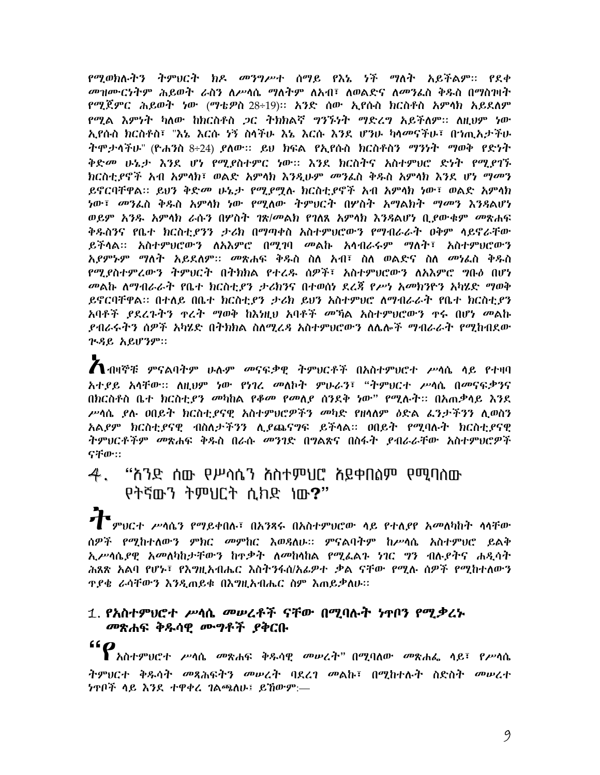የሚወክሉትን ትምህርት ክዶ መንግሥተ ሰማይ የእኔ ነች ማለት አይችልም። የደቀ መዝሙርነትም ሕይወት ራስን ለሥሳሴ ማለትም ለአብ፣ ለወልድና ለመንፌስ ቅዱስ በማስገዛት የሚጀምር ሕይወት ነው (ማቴዎስ-28÷19)። አንድ ሰው ኢየሱስ ክርስቶስ አምሳክ አይደለም የሚል እምነት ካለው ከክርስቶስ ጋር ትክክልኛ ግንኙነት ማድረግ አይችለም፡፡ ለዚህም ነው ኢየሱስ ክርስቶስ፣ "እኔ እርሱ ሃኝ ስሳችሁ እኔ እርሱ እንደ ሆንሁ ካሳመናችሁ፣ በኀጢአታችሁ ትሞታሳችሁ" (ዮሐንስ 8÷24) ያለው። ይህ ክፍል የኢየሱስ ክርስቶስን ማንነት ማወቅ የድነት ቅድመ ሁኔታ እንደ ሆነ የሚደስተምር ነው። እንደ ክርስተና አስተምህሮ ድነት የሚደባኙ ክርስቲያኖች አብ አምሳክ፣ ወልድ አምሳክ እንዲሁም *መ*ንፌስ ቅዱስ አምሳክ እንደ ሆ*ነ ማመ*ን ይኖርባቸዋል፡፡ ይህን ቅድመ ሁኔታ የሚደማሉ ክርስቲደኖች አብ አምሳክ ነው፣ ወልድ አምሳክ *ነ*ው፣ *መን*ፌስ ቅዱስ አምሳክ ነው የሚለው ትምህርት በሦስት አማልክት ማመን እንዳልሆነ ወይም አንዱ አምላክ ራሱን በሦስት ገጽ/መልክ የገለጸ አምላክ እንዳልሆነ ቢያውቁም *መ*ጽሐፍ ቅዱስንና የቤተ ክርስቲ*ያንን ታሪ*ክ በማጣቀስ አስተምህሮውን የማብራራት ዐቅም ሳይኖራቸው ይችላል፡፡ አስተምህሮውን ለአእምሮ በሚገባ መልኩ አሳብራሩም ማለት፣ አስተምህሮውን *አያምኑም ማለት አይ*ደለም። *መ*ጽሐፍ ቅዱስ ስለ አብ፣ ስለ ወልድና ስለ መነፌስ ቅዱስ የሚደስተምሬውን ትምህርት በተክክል የተረዱ ሰዎች፣ አስተምህሮውን ለአእምሮ ግቡዕ በሆነ መልኩ ለማብራራት የቤተ ክርስቲያን ታሪክንና በተወሰነ ደረጃ የሥነ አመክንዮን አካሄድ ማወቅ ይኖርባቸዋል፡፡ በተለይ በቤተ ክርስቲያን ታሪክ ይህን አስተምህሮ ለማብራራት የቤተ ክርስቲያን አባቶች *ደ*ደረጉትን ተረት ማወቅ ከእነዚህ አባቶች መኻል አስተምህሮውን ተሩ በሆነ መልኩ ያብራሩትን ሰዎች አካሄድ በትክክል ስለሚረዳ አስተምህሮውን ለሌሎች ማብራራት የሚከብደው  $7.8$   $6.8$   $R1$  $R3$  $P$ ::

 $\bigwedge$ ብዛኞቹ ምናልባትም ሁሉም መናፍቃዊ ትምህርቶች በአስተምህሮተ ሥሳሴ ሳይ የተዛባ አተደይ አሳቸው። ለዚህም ነው የነገረ መለኮት ምሁራን፣ "ትምህርተ ሥሳሴ በመናፍቃንና በክርስቶስ ቤተ ክርስቲ*ያን መ*ካከል *የቆመ የመለያ* ሰንደቅ *ነ*ው" የሚሉት። በአጠቃሳይ እንደ ሥሳሴ ያሉ ዐበይት ክርስቲያናዊ አስተምህሮዎችን መካድ የዘሳለም ዕድል ፌንታችንን ሊወስን አልደም ክርስቲደናዊ ብስለታችንን ሊደጨናግፍ ይችላል። ወበይት የሚባሉት ክርስቲደናዊ ትምህርቶችም መጽሐፍ ቅዱስ በራሱ መንገድ በግልጽና በስፋት ያብራራቸው አስተምህሮዎች ናቸው።

# $4.$  "ስንድ ሰው የሥሳሴን ስስተምህሮ ስይቀበስም የሚባስው የትኛውን ትምህርት ሲክድ ነው?"

 $\boldsymbol{\tau}$  ምህርተ ሥሳሴን የማይቀበሉ፣ በአንጻሩ በአስተምህሮው ሳይ የተለያየ አመለካከት ሳሳቸው ሰዎች የሚከተለውን ምክር መምከር እወዳለሁ፡፡ ምናልባትም ከሥሳሴ አስተምህሮ ይልቅ ኢሥሳሴደዊ አመለካከታቸውን ከዋቃት ለመከላከል የሚፌልጉ ነገር ግን ብሉደትና ሐዳሳት ሕጸጽ አልባ የሆኑ፣ የእግዚአብሔር እስትንፋሰ/አፊዎተ ቃል ናቸው የሚሉ ሰዎች የሚከተለውን **ዋደቄ ራሳቸውን እንዲጠይቁ በእግዚአብሔር ስም እጠይቃለሁ።** 

# 1. የአስተምህሮተ ሥሳሴ መሥረቶች ናቸው በሚባሉት ነዋቦን የሚቃረኑ መጽሐፍ ቅዱሳዋ ሙግቶች ያቅርቡ

# "<br>የአስተምህሮተ ሥሳሴ መጽሐፍ ቅዱሳዊ መሥረት" በሚባለው መጽሐፌ ሳይ፣ የሥሳሴ *ትምህርተ ቅዱሳት መጻሕፍትን መሠረት* ባደረ*ገ መ*ልኩ፣ በሚከተሉት ስድስት *መሠረተ* ነዋቦች ሳይ እንደ ተዋቀረ ገልጫለሁ፤ ይኸውም:—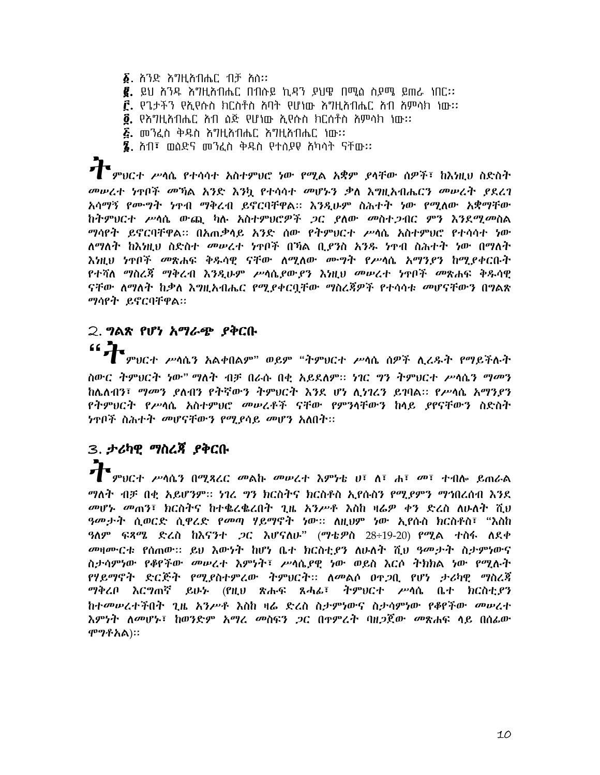- $\delta$ . ስንድ እግዚስብሔር ብቻ ስስ፡፡
- $\bar{e}$ . ይህ ሕንዱ እግዚአብሔር በብሱይ ኪዳን ያህዌ በሚል ስያሜ ይጠራ ነበር::
- $\mathbf{\hat{r}}$ , የጌታችን የኢየሱስ ክርስቶስ ስባት የሆነው እግዚስብሔር ስብ ስምሳክ ነው፡፡
- $\vec{0}$ . የእግዚአብሔር አብ ስጅ የሆነው ኢየሱስ ክርሰቶስ አምሳክ ነው፡፡
- $E$ . መንፈስ ቅዱስ እግዚአብሔር አግዚአብሔር ነው፡፡
- $\S$ . ስብ፣ መስድና መንፈስ ቅዱስ የተሰያዩ ስካሳት ናቸው፡፡

<sup>`</sup>ምህርተ ሥሳሴ የተሳሳተ አስተምህሮ ነው የሚል አቋም ያሳቸው ሰዎች፣ ከእነዚህ ስድስት መሠረተ ነዋቦች መኻል አንድ እንኳ የተሳሳተ መሆኑን ቃለ እግዚአብሔርን መሠረት ያደረገ አሳማኝ የሙግት ነዋብ ማቅረብ ይኖርባቸዋል፡፡ እንዲሁም ስሕተት ነው የሚለው አቋማቸው ከትምህርተ ሥሳሴ ውጪ ካሉ አስተምህሮዎች *ጋ*ር ያለው መስተ*ጋብር ምን እንደሚመ*ስል ማሳየት ይኖርባቸዋል። በአጠቃሳይ አንድ ሰው የትምህርተ ሥሳሴ አስተምህሮ የተሳሳተ ነው ለማለት ከእነዚህ ስድስተ *መሠረተ ነ*ዋቦች በኻል ቢ*ያን*ስ አንዱ ነዋብ ስሕተት ነው በማለት <u>እነዚህ ነጥቦች መጽሐፍ ቅዱሳዊ ናቸው ለሚለው ሙግት የሥሳሴ አማንደን ከሚደቀርቡት</u> የተሻለ ማስረ*ጃ ማቅረብ እንዲ*ሁም ሥሳሴ*ያውያን እነ*ዚህ መሥረተ ነዋቦች መጽሐፍ ቅዱሳዊ ናቸው ለማለት ከቃለ እ*ግ*ዚአብሔር የሚያቀርቧቸው ማስረጃዎች የተሳሳቱ *መ*ሆናቸውን በግልጽ ማሳየት ይኖርባቸዋል።

# 2. ግልጽ የሆነ አማራጭ ያቅርቡ  $\mathbf{G}$

<sub>፡</sub><br> ምህርተ ሥሳሴን አልቀበልም" ወይም "ትምህርተ ሥሳሴ ሰዎች ሊረዱት የማይችሉት ስውር ትምህርት ነው" ማለት ብቻ በራሱ በቂ አይደለም። ነገር ግን ትምህርተ ሥሳሴን ማመን ከሌለብን፣ *ማመን ደ*ለብን የትኛውን ትምህርት እንደ ሆነ ሊነገረን ይገባል። የሥሳሴ አማንደን *የትምህርት የሥ*ሳሴ አስተምህሮ *መሠረቶች* ናቸው የምንሳቸውን ከላይ የየናቸውን ስድስት *ነ*ዋቦች ስሕተት መሆናቸውን የሚያሳይ መሆን አለበት።

# 3. ታሪካዊ ማስረጃ ያቅርቡ

ን የመሆናቸው አካባቢ የሚያደር መልኩ መሠረተ እምነቴ ሀ፣ ለ፣ ሐ፣ መ፣ ተብሎ ይጠራል ማለት ብቻ በቂ አይሆንም። ነገረ ግን ክርስትና ክርስቶስ ኢየሱስን የሚያምን ማኅበረሰብ እንደ መሆኑ መጠን፣ ክርስትና ከተቈረቈረበት ጊዜ አንሥቶ እስከ ዛሬዎ ቀን ድረስ ለሁለት ሺህ ዓመታት ሲወርድ ሲዋሪድ የመጣ ሃይማኖት ነው። ለዚህም ነው ኢየሱስ ክርስቶስ፣ "እስከ ዓለም ፍጻሜ ድረስ ከእናንተ *ጋ*ር እሆናለሁ" (ማቴዎስ 28÷19-20) የሚል ተስፋ ለደቀ መዛሙርቱ የሰጠው። ይህ እውነት ከሆነ ቤተ ክርስቲያን ለሁለት ሺህ ዓመታት ስታምነውና ስታሳምነው የቆየችው መሥረተ እምነት፣ ሥሳሴያዊ ነው ወይስ እርሶ ትክክል ነው የሚሉት የሃይማኖት ድርጅት የሚደስተምረው ትምህርት። ለመልሶ ዐዋጋቢ የሆነ ታሪካዊ ማስረጃ ማቅረቦ እርግጠኛ ይሁኑ (የዚህ ጽሑፍ ጸሓፊ፣ ትምህርተ ሥሳሴ ቤተ ክርስቲ,ኖን ከተመሠረተችበት ጊዜ *አንሥቶ እ*ስከ ዛሬ ድረስ ስታምነውና ስታሳምነው የቆየችው *መሠረ*ተ እምነት ለመሆኑ፣ ከወንድም አማረ መስፍን *ጋ*ር በተምረት ባዘ*ጋ*ጀው መጽሐፍ ላይ በሰፊው ሞማቶአል)።